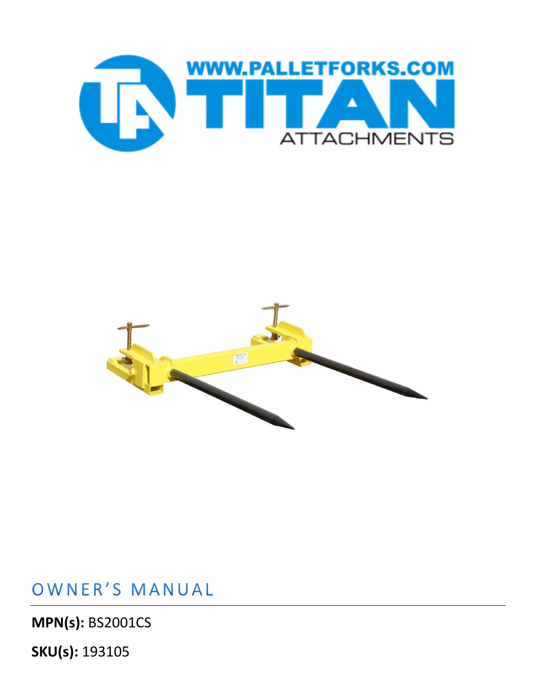



## OWNER'S MANUAL

**MPN(s):** BS2001CS

**SKU(s):** 193105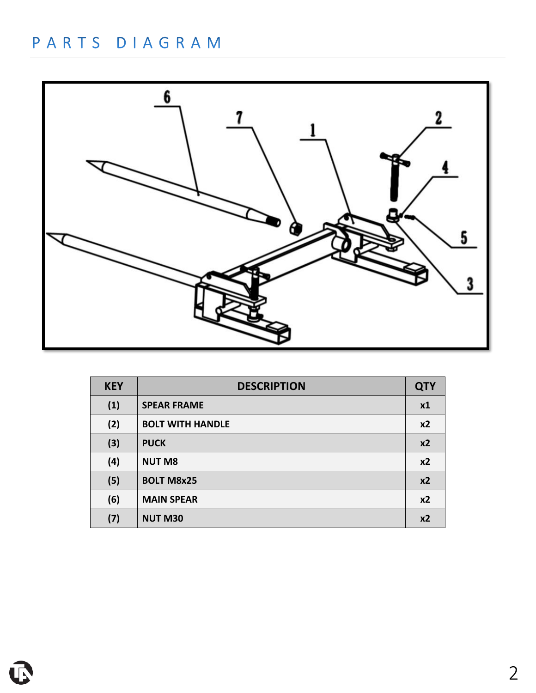## PARTS DIAGRAM



| <b>KEY</b> | <b>DESCRIPTION</b>      | <b>QTY</b>     |
|------------|-------------------------|----------------|
| (1)        | <b>SPEAR FRAME</b>      | x1             |
| (2)        | <b>BOLT WITH HANDLE</b> | x <sub>2</sub> |
| (3)        | <b>PUCK</b>             | x <sub>2</sub> |
| (4)        | <b>NUT M8</b>           | x <sub>2</sub> |
| (5)        | <b>BOLT M8x25</b>       | x2             |
| (6)        | <b>MAIN SPEAR</b>       | x <sub>2</sub> |
| (7)        | <b>NUT M30</b>          | x <sub>2</sub> |